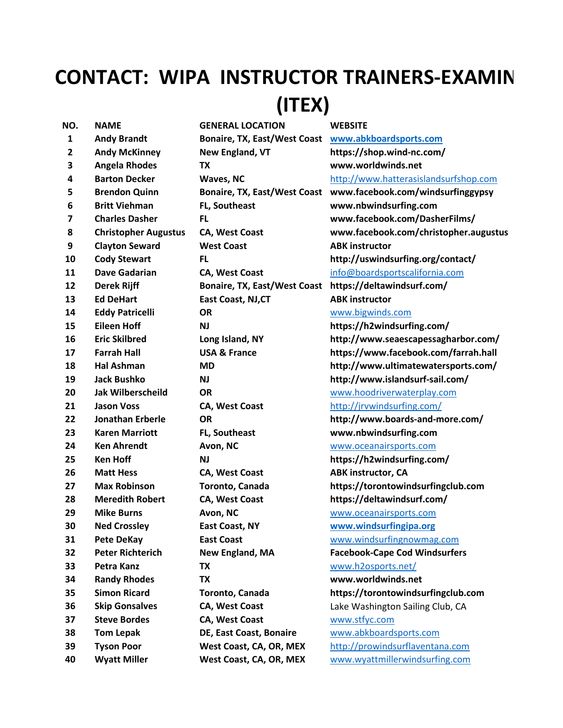## **CONTACT: WIPA INSTRUCTOR TRAINERS-EXAMIN (ITEX)**

| NO.          | <b>NAME</b>                 | <b>GENERAL LOCATION</b>                             | <b>WEBSITE</b>                        |
|--------------|-----------------------------|-----------------------------------------------------|---------------------------------------|
| $\mathbf{1}$ | <b>Andy Brandt</b>          | Bonaire, TX, East/West Coast www.abkboardsports.com |                                       |
| $\mathbf{2}$ | <b>Andy McKinney</b>        | New England, VT                                     | https://shop.wind-nc.com/             |
| 3            | <b>Angela Rhodes</b>        | <b>TX</b>                                           | www.worldwinds.net                    |
| 4            | <b>Barton Decker</b>        | <b>Waves, NC</b>                                    | http://www.hatterasislandsurfshop.com |
| 5            | <b>Brendon Quinn</b>        | <b>Bonaire, TX, East/West Coast</b>                 | www.facebook.com/windsurfinggypsy     |
| 6            | <b>Britt Viehman</b>        | <b>FL, Southeast</b>                                | www.nbwindsurfing.com                 |
| 7            | <b>Charles Dasher</b>       | <b>FL</b>                                           | www.facebook.com/DasherFilms/         |
| 8            | <b>Christopher Augustus</b> | CA, West Coast                                      | www.facebook.com/christopher.augustus |
| 9            | <b>Clayton Seward</b>       | <b>West Coast</b>                                   | <b>ABK</b> instructor                 |
| 10           | <b>Cody Stewart</b>         | <b>FL</b>                                           | http://uswindsurfing.org/contact/     |
| 11           | <b>Dave Gadarian</b>        | CA, West Coast                                      | info@boardsportscalifornia.com        |
| 12           | <b>Derek Rijff</b>          | <b>Bonaire, TX, East/West Coast</b>                 | https://deltawindsurf.com/            |
| 13           | <b>Ed DeHart</b>            | East Coast, NJ, CT                                  | <b>ABK instructor</b>                 |
| 14           | <b>Eddy Patricelli</b>      | <b>OR</b>                                           | www.bigwinds.com                      |
| 15           | <b>Eileen Hoff</b>          | <b>NJ</b>                                           | https://h2windsurfing.com/            |
| 16           | <b>Eric Skilbred</b>        | Long Island, NY                                     | http://www.seaescapessagharbor.com/   |
| 17           | <b>Farrah Hall</b>          | <b>USA &amp; France</b>                             | https://www.facebook.com/farrah.hall  |
| 18           | <b>Hal Ashman</b>           | <b>MD</b>                                           | http://www.ultimatewatersports.com/   |
| 19           | <b>Jack Bushko</b>          | <b>NJ</b>                                           | http://www.islandsurf-sail.com/       |
| 20           | <b>Jak Wilberscheild</b>    | <b>OR</b>                                           | www.hoodriverwaterplay.com            |
| 21           | <b>Jason Voss</b>           | CA, West Coast                                      | http://jrvwindsurfing.com/            |
| 22           | <b>Jonathan Erberle</b>     | <b>OR</b>                                           | http://www.boards-and-more.com/       |
| 23           | <b>Karen Marriott</b>       | FL, Southeast                                       | www.nbwindsurfing.com                 |
| 24           | <b>Ken Ahrendt</b>          | Avon, NC                                            | www.oceanairsports.com                |
| 25           | <b>Ken Hoff</b>             | <b>NJ</b>                                           | https://h2windsurfing.com/            |
| 26           | <b>Matt Hess</b>            | <b>CA, West Coast</b>                               | ABK instructor, CA                    |
| 27           | <b>Max Robinson</b>         | Toronto, Canada                                     | https://torontowindsurfingclub.com    |
| 28           | <b>Meredith Robert</b>      | <b>CA, West Coast</b>                               | https://deltawindsurf.com/            |
| 29           | <b>Mike Burns</b>           | Avon, NC                                            | www.oceanairsports.com                |
| 30           | <b>Ned Crossley</b>         | <b>East Coast, NY</b>                               | www.windsurfingipa.org                |
| 31           | <b>Pete DeKay</b>           | <b>East Coast</b>                                   | www.windsurfingnowmag.com             |
| 32           | <b>Peter Richterich</b>     | <b>New England, MA</b>                              | <b>Facebook-Cape Cod Windsurfers</b>  |
| 33           | <b>Petra Kanz</b>           | <b>TX</b>                                           | www.h2osports.net/                    |
| 34           | <b>Randy Rhodes</b>         | <b>TX</b>                                           | www.worldwinds.net                    |
| 35           | <b>Simon Ricard</b>         | Toronto, Canada                                     | https://torontowindsurfingclub.com    |
| 36           | <b>Skip Gonsalves</b>       | <b>CA, West Coast</b>                               | Lake Washington Sailing Club, CA      |
| 37           | <b>Steve Bordes</b>         | <b>CA, West Coast</b>                               | www.stfyc.com                         |
| 38           | <b>Tom Lepak</b>            | DE, East Coast, Bonaire                             | www.abkboardsports.com                |
| 39           | <b>Tyson Poor</b>           | West Coast, CA, OR, MEX                             | http://prowindsurflaventana.com       |
| 40           | <b>Wyatt Miller</b>         | West Coast, CA, OR, MEX                             | www.wyattmillerwindsurfing.com        |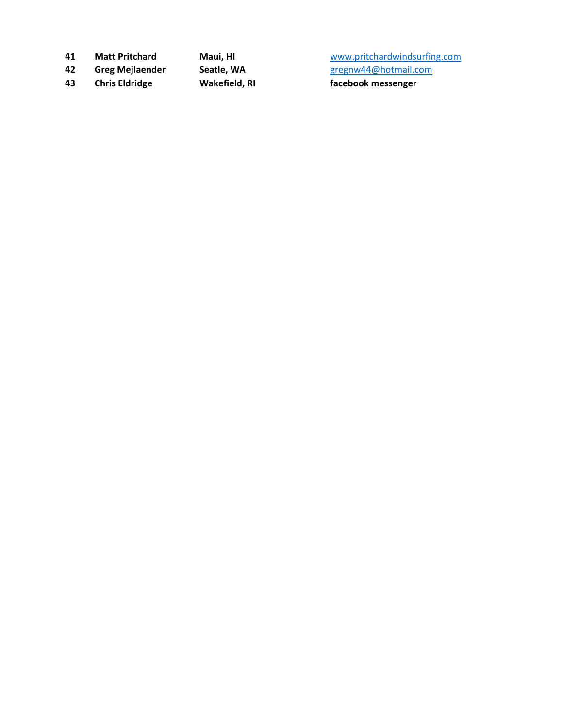- 
- 
- 

 **Matt Pritchard Maui, HI** [www.pritchardwindsurfing.com](http://www.pritchardwindsurfing.com/) **Greg Mejlaender Seatle, WA [gregnw44@hotmail.com](mailto:gregnw44@hotmail.com) Chris Eldridge Wakefield, RI facebook messenger**